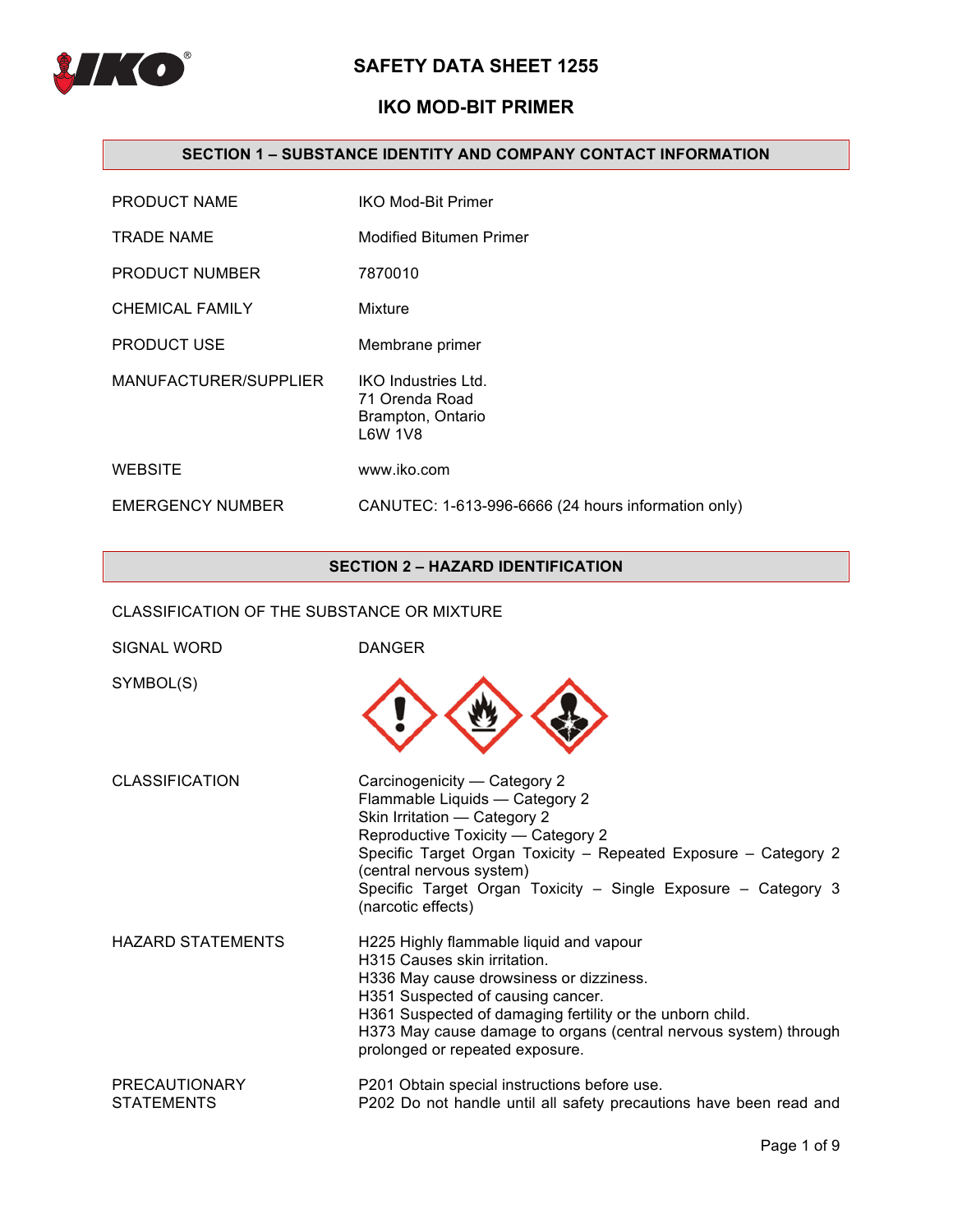

# **IKO MOD-BIT PRIMER**

## **SECTION 1 – SUBSTANCE IDENTITY AND COMPANY CONTACT INFORMATION**

| PRODUCT NAME           | <b>IKO Mod-Bit Primer</b>                                             |
|------------------------|-----------------------------------------------------------------------|
| <b>TRADE NAME</b>      | <b>Modified Bitumen Primer</b>                                        |
| PRODUCT NUMBER         | 7870010                                                               |
| <b>CHEMICAL FAMILY</b> | Mixture                                                               |
| <b>PRODUCT USE</b>     | Membrane primer                                                       |
| MANUFACTURER/SUPPLIER  | IKO Industries Ltd.<br>71 Orenda Road<br>Brampton, Ontario<br>L6W 1V8 |
| <b>WEBSITE</b>         | www.iko.com                                                           |
| EMERGENCY NUMBER       | CANUTEC: 1-613-996-6666 (24 hours information only)                   |

## **SECTION 2 – HAZARD IDENTIFICATION**

CLASSIFICATION OF THE SUBSTANCE OR MIXTURE

| SIGNAL WORD                               | <b>DANGER</b>                                                                                                                                                                                                                                                                                                               |
|-------------------------------------------|-----------------------------------------------------------------------------------------------------------------------------------------------------------------------------------------------------------------------------------------------------------------------------------------------------------------------------|
| SYMBOL(S)                                 |                                                                                                                                                                                                                                                                                                                             |
| <b>CLASSIFICATION</b>                     | Carcinogenicity — Category 2<br>Flammable Liquids - Category 2<br>Skin Irritation - Category 2<br>Reproductive Toxicity - Category 2<br>Specific Target Organ Toxicity - Repeated Exposure - Category 2<br>(central nervous system)<br>Specific Target Organ Toxicity - Single Exposure - Category 3<br>(narcotic effects)  |
| <b>HAZARD STATEMENTS</b>                  | H225 Highly flammable liquid and vapour<br>H315 Causes skin irritation.<br>H336 May cause drowsiness or dizziness.<br>H351 Suspected of causing cancer.<br>H361 Suspected of damaging fertility or the unborn child.<br>H373 May cause damage to organs (central nervous system) through<br>prolonged or repeated exposure. |
| <b>PRECAUTIONARY</b><br><b>STATEMENTS</b> | P201 Obtain special instructions before use.<br>P202 Do not handle until all safety precautions have been read and                                                                                                                                                                                                          |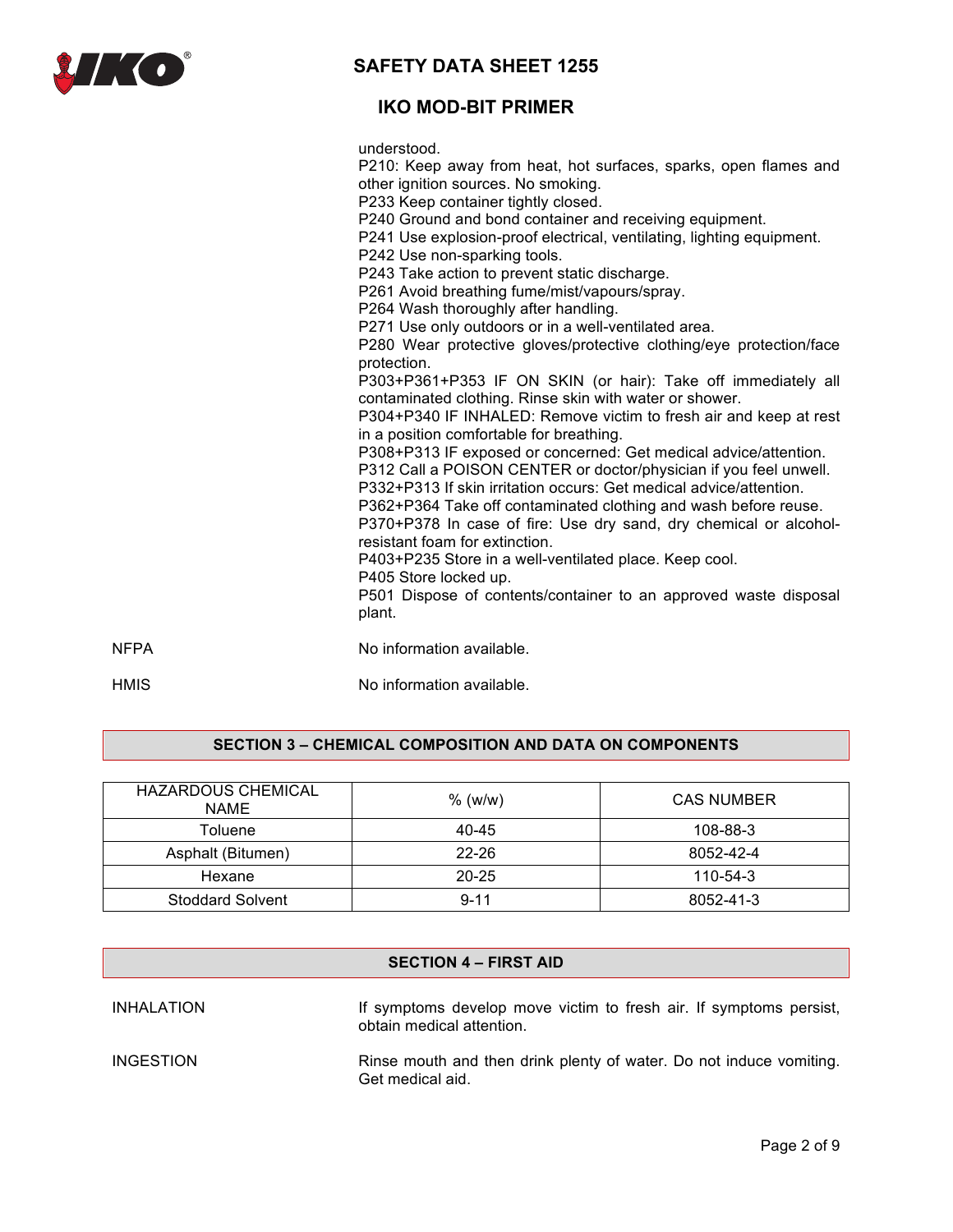

# **IKO MOD-BIT PRIMER**

understood.

P210: Keep away from heat, hot surfaces, sparks, open flames and other ignition sources. No smoking. P233 Keep container tightly closed. P240 Ground and bond container and receiving equipment. P241 Use explosion-proof electrical, ventilating, lighting equipment. P242 Use non-sparking tools. P243 Take action to prevent static discharge. P261 Avoid breathing fume/mist/vapours/spray. P264 Wash thoroughly after handling. P271 Use only outdoors or in a well-ventilated area. P280 Wear protective gloves/protective clothing/eye protection/face protection. P303+P361+P353 IF ON SKIN (or hair): Take off immediately all contaminated clothing. Rinse skin with water or shower. P304+P340 IF INHALED: Remove victim to fresh air and keep at rest in a position comfortable for breathing. P308+P313 IF exposed or concerned: Get medical advice/attention. P312 Call a POISON CENTER or doctor/physician if you feel unwell. P332+P313 If skin irritation occurs: Get medical advice/attention. P362+P364 Take off contaminated clothing and wash before reuse. P370+P378 In case of fire: Use dry sand, dry chemical or alcoholresistant foam for extinction. P403+P235 Store in a well-ventilated place. Keep cool. P405 Store locked up. P501 Dispose of contents/container to an approved waste disposal plant. NEPA No information available. HMIS No information available.

## **SECTION 3 – CHEMICAL COMPOSITION AND DATA ON COMPONENTS**

| HAZARDOUS CHEMICAL<br><b>NAME</b> | $%$ (w/w) | <b>CAS NUMBER</b> |
|-----------------------------------|-----------|-------------------|
| Toluene                           | 40-45     | 108-88-3          |
| Asphalt (Bitumen)                 | $22 - 26$ | 8052-42-4         |
| Hexane                            | $20 - 25$ | 110-54-3          |
| <b>Stoddard Solvent</b>           | $9 - 11$  | 8052-41-3         |

| <b>SECTION 4 – FIRST AID</b> |                                                                                                 |  |
|------------------------------|-------------------------------------------------------------------------------------------------|--|
| <b>INHALATION</b>            | If symptoms develop move victim to fresh air. If symptoms persist,<br>obtain medical attention. |  |
| <b>INGESTION</b>             | Rinse mouth and then drink plenty of water. Do not induce vomiting.<br>Get medical aid.         |  |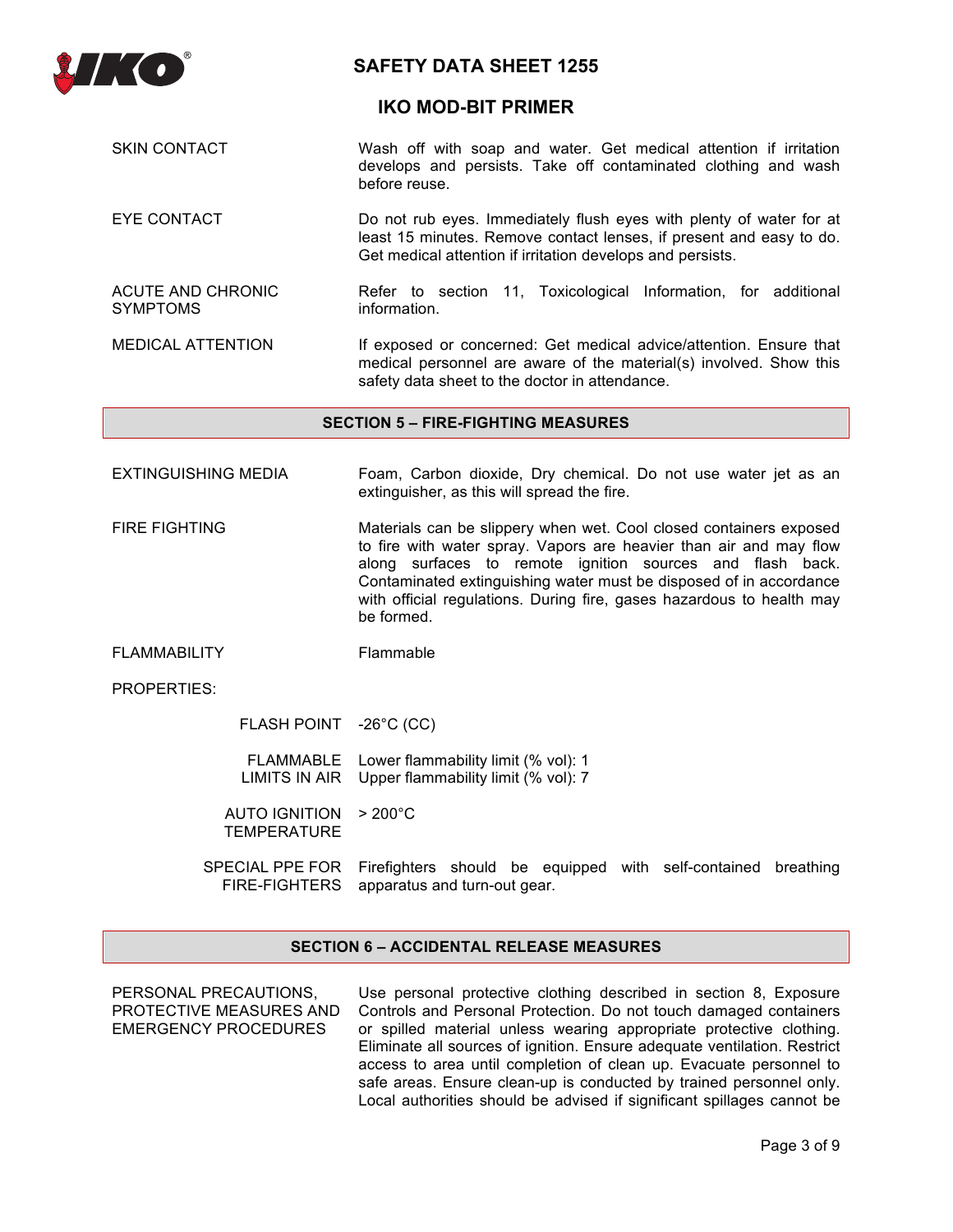

## **IKO MOD-BIT PRIMER**

- SKIN CONTACT **Wash off with soap and water.** Get medical attention if irritation develops and persists. Take off contaminated clothing and wash before reuse.
- EYE CONTACT **Do not rub eyes. Immediately flush eyes with plenty of water for at** least 15 minutes. Remove contact lenses, if present and easy to do. Get medical attention if irritation develops and persists.

ACUTE AND CHRONIC SYMPTOMS Refer to section 11, Toxicological Information, for additional information.

MEDICAL ATTENTION If exposed or concerned: Get medical advice/attention. Ensure that medical personnel are aware of the material(s) involved. Show this safety data sheet to the doctor in attendance.

#### **SECTION 5 – FIRE-FIGHTING MEASURES**

- EXTINGUISHING MEDIA Foam, Carbon dioxide, Dry chemical. Do not use water jet as an extinguisher, as this will spread the fire.
- FIRE FIGHTING Materials can be slippery when wet. Cool closed containers exposed to fire with water spray. Vapors are heavier than air and may flow along surfaces to remote ignition sources and flash back. Contaminated extinguishing water must be disposed of in accordance with official regulations. During fire, gases hazardous to health may be formed.
- FLAMMABILITY Flammable

PROPERTIES:

FLASH POINT -26°C (CC)

FLAMMABLE Lower flammability limit (% vol): 1 LIMITS IN AIR Upper flammability limit (% vol): 7

AUTO IGNITION > 200°C **TEMPERATURE** 

SPECIAL PPE FOR Firefighters should be equipped with self-contained breathing FIRE-FIGHTERS apparatus and turn-out gear.

## **SECTION 6 – ACCIDENTAL RELEASE MEASURES**

PERSONAL PRECAUTIONS, PROTECTIVE MEASURES AND EMERGENCY PROCEDURES

Use personal protective clothing described in section 8, Exposure Controls and Personal Protection. Do not touch damaged containers or spilled material unless wearing appropriate protective clothing. Eliminate all sources of ignition. Ensure adequate ventilation. Restrict access to area until completion of clean up. Evacuate personnel to safe areas. Ensure clean-up is conducted by trained personnel only. Local authorities should be advised if significant spillages cannot be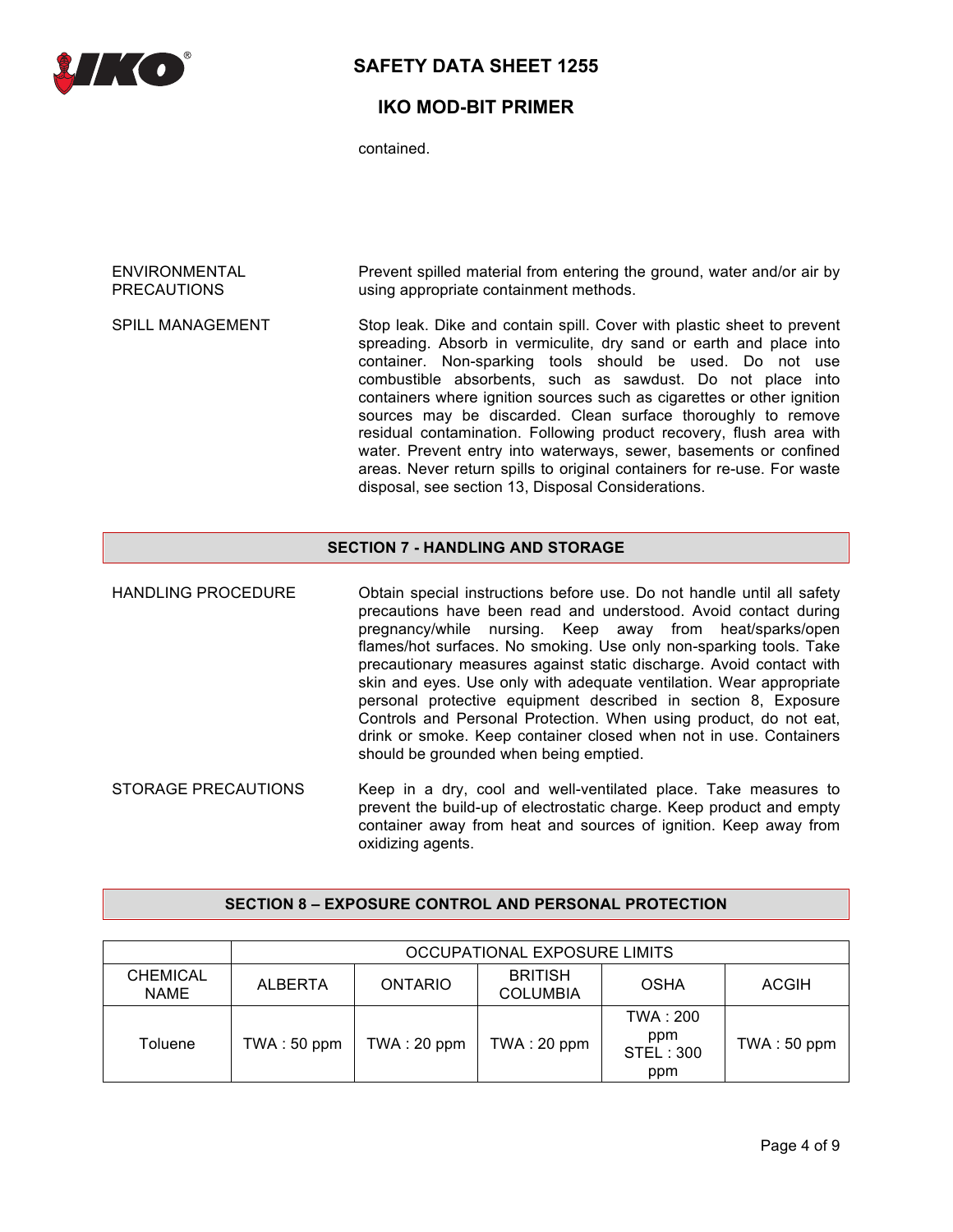

# **IKO MOD-BIT PRIMER**

contained.

| ENVIRONMENTAL      | Prevent spilled material from entering the ground, water and/or air by |
|--------------------|------------------------------------------------------------------------|
| <b>PRECAUTIONS</b> | using appropriate containment methods.                                 |

SPILL MANAGEMENT Stop leak. Dike and contain spill. Cover with plastic sheet to prevent spreading. Absorb in vermiculite, dry sand or earth and place into container. Non-sparking tools should be used. Do not use combustible absorbents, such as sawdust. Do not place into containers where ignition sources such as cigarettes or other ignition sources may be discarded. Clean surface thoroughly to remove residual contamination. Following product recovery, flush area with water. Prevent entry into waterways, sewer, basements or confined areas. Never return spills to original containers for re-use. For waste disposal, see section 13, Disposal Considerations.

## **SECTION 7 - HANDLING AND STORAGE**

HANDLING PROCEDURE Obtain special instructions before use. Do not handle until all safety precautions have been read and understood. Avoid contact during pregnancy/while nursing. Keep away from heat/sparks/open flames/hot surfaces. No smoking. Use only non-sparking tools. Take precautionary measures against static discharge. Avoid contact with skin and eyes. Use only with adequate ventilation. Wear appropriate personal protective equipment described in section 8, Exposure Controls and Personal Protection. When using product, do not eat, drink or smoke. Keep container closed when not in use. Containers should be grounded when being emptied.

STORAGE PRECAUTIONS Keep in a dry, cool and well-ventilated place. Take measures to prevent the build-up of electrostatic charge. Keep product and empty container away from heat and sources of ignition. Keep away from oxidizing agents.

## **SECTION 8 – EXPOSURE CONTROL AND PERSONAL PROTECTION**

|                                | OCCUPATIONAL EXPOSURE LIMITS |                |                                   |                                             |              |
|--------------------------------|------------------------------|----------------|-----------------------------------|---------------------------------------------|--------------|
| <b>CHEMICAL</b><br><b>NAME</b> | <b>ALBERTA</b>               | <b>ONTARIO</b> | <b>BRITISH</b><br><b>COLUMBIA</b> | OSHA                                        | <b>ACGIH</b> |
| Toluene                        | TWA: 50 ppm                  | TWA : 20 ppm   | TWA: 20 ppm                       | TWA : 200<br>ppm<br><b>STEL: 300</b><br>ppm | TWA: 50 ppm  |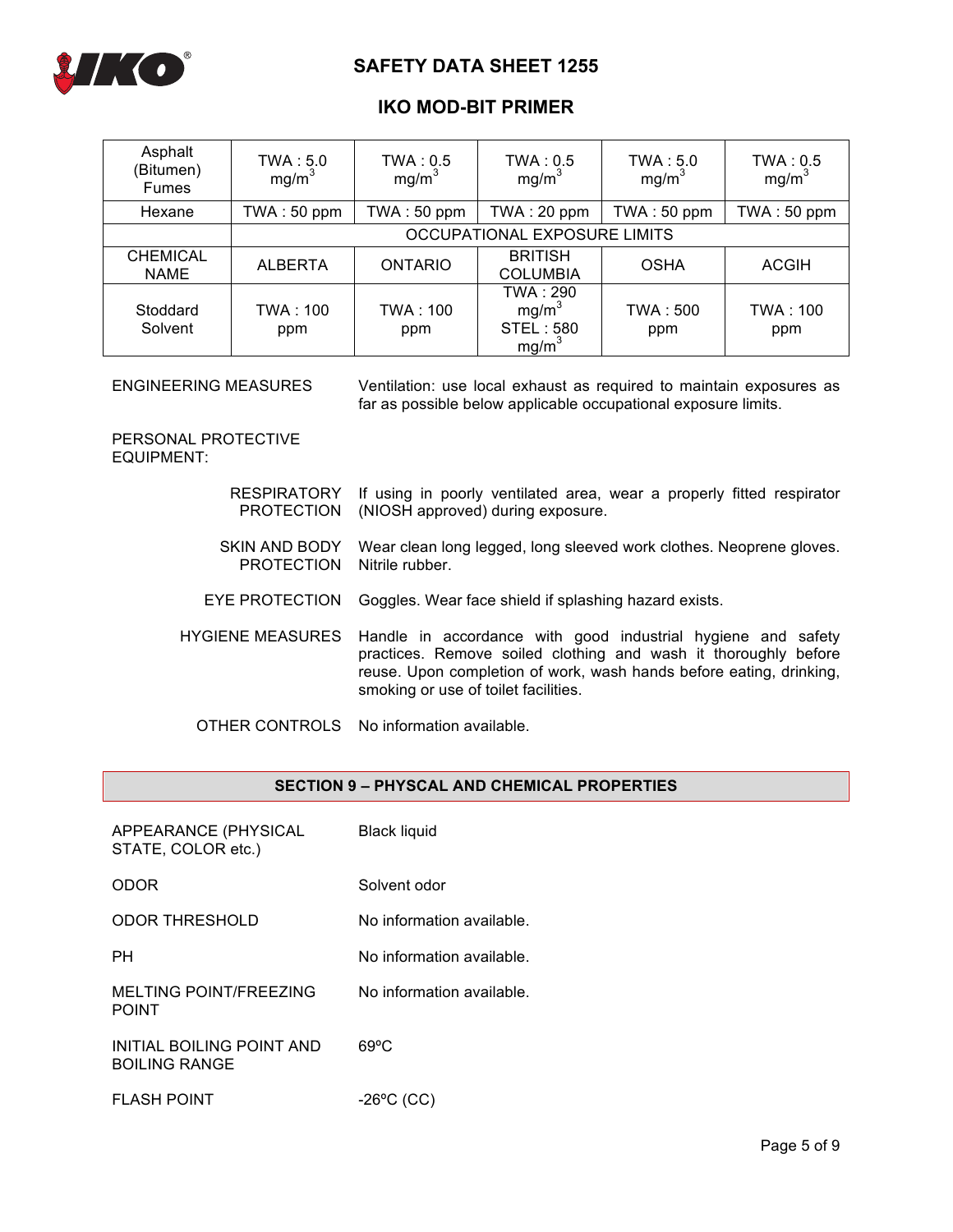

# **IKO MOD-BIT PRIMER**

| Asphalt<br>(Bitumen)<br><b>Fumes</b> | TWA: 5.0<br>mg/m <sup>3</sup>       | TWA: 0.5<br>mg/m <sup>3</sup> | TWA: 0.5<br>mg/m <sup>3</sup>                                          | TWA: 5.0<br>mg/m <sup>3</sup> | TWA: 0.5<br>mg/m <sup>3</sup> |
|--------------------------------------|-------------------------------------|-------------------------------|------------------------------------------------------------------------|-------------------------------|-------------------------------|
| Hexane                               | TWA: 50 ppm                         | TWA: 50 ppm                   | TWA: 20 ppm                                                            | TWA: 50 ppm                   | TWA: 50 ppm                   |
|                                      | <b>OCCUPATIONAL EXPOSURE LIMITS</b> |                               |                                                                        |                               |                               |
| <b>CHEMICAL</b><br><b>NAME</b>       | <b>ALBERTA</b>                      | <b>ONTARIO</b>                | <b>BRITISH</b><br><b>COLUMBIA</b>                                      | <b>OSHA</b>                   | <b>ACGIH</b>                  |
| Stoddard<br>Solvent                  | TWA : 100<br>ppm                    | TWA : 100<br>ppm              | TWA: 290<br>mg/m <sup>3</sup><br><b>STEL: 580</b><br>mg/m <sup>3</sup> | TWA : 500<br>ppm              | TWA: 100<br>ppm               |

ENGINEERING MEASURES Ventilation: use local exhaust as required to maintain exposures as far as possible below applicable occupational exposure limits.

PERSONAL PROTECTIVE EQUIPMENT:

|                                             | RESPIRATORY If using in poorly ventilated area, wear a properly fitted respirator<br>PROTECTION (NIOSH approved) during exposure.                                                                                                                               |
|---------------------------------------------|-----------------------------------------------------------------------------------------------------------------------------------------------------------------------------------------------------------------------------------------------------------------|
| SKIN AND BODY<br>PROTECTION Nitrile rubber. | Wear clean long legged, long sleeved work clothes. Neoprene gloves.                                                                                                                                                                                             |
|                                             | EYE PROTECTION Goggles. Wear face shield if splashing hazard exists.                                                                                                                                                                                            |
|                                             | HYGIENE MEASURES Handle in accordance with good industrial hygiene and safety<br>practices. Remove soiled clothing and wash it thoroughly before<br>reuse. Upon completion of work, wash hands before eating, drinking,<br>smoking or use of toilet facilities. |

OTHER CONTROLS No information available.

## **SECTION 9 – PHYSCAL AND CHEMICAL PROPERTIES**

| APPEARANCE (PHYSICAL<br>STATE, COLOR etc.) | <b>Black liquid</b>       |
|--------------------------------------------|---------------------------|
| ODOR                                       | Solvent odor              |
| <b>ODOR THRESHOLD</b>                      | No information available. |
| PН                                         | No information available. |
| MELTING POINT/FREEZING<br><b>POINT</b>     | No information available. |
| INITIAL BOILING POINT AND<br>BOILING RANGE | $69^{\circ}$ C            |
| <b>FLASH POINT</b>                         | $-26$ °C (CC)             |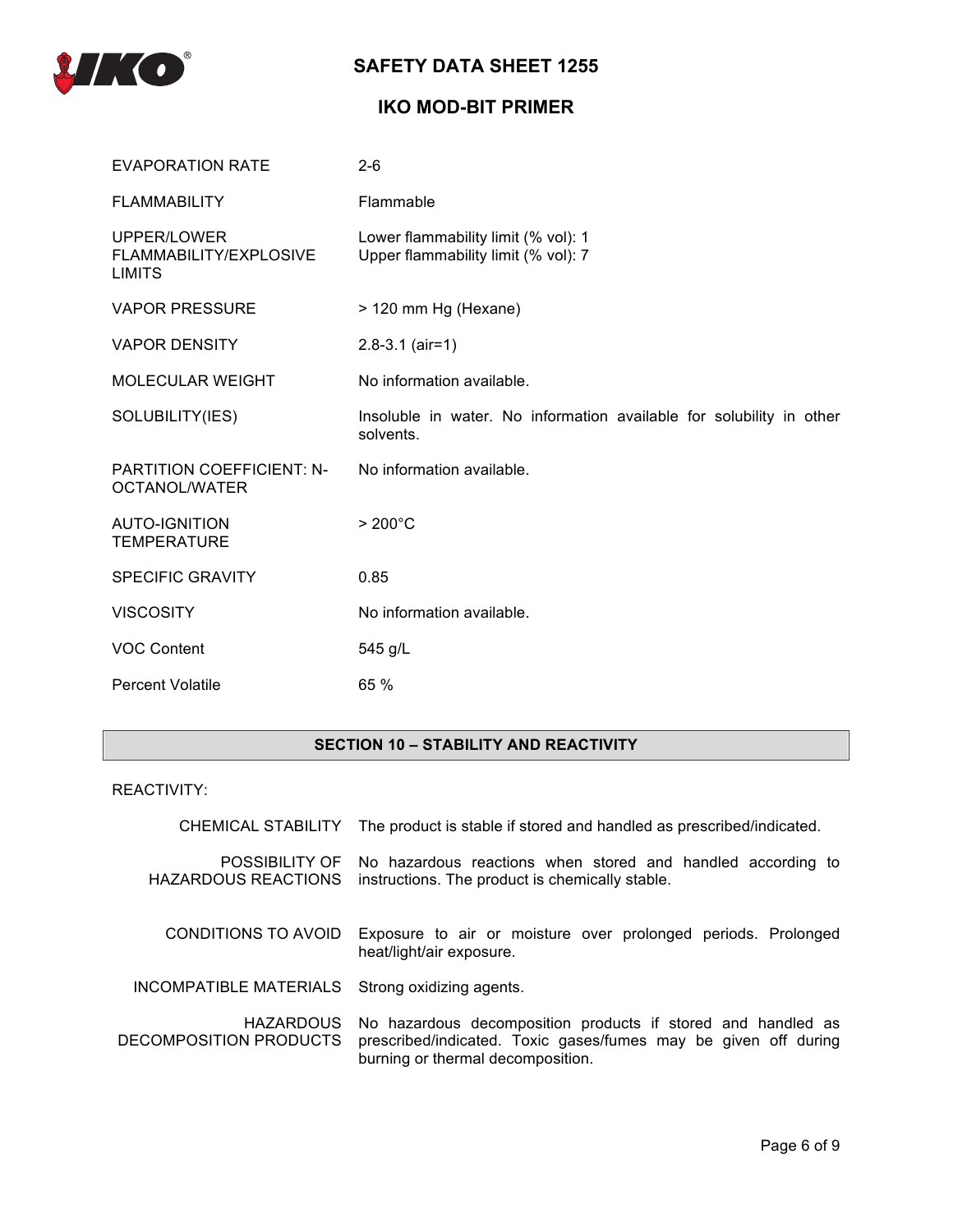

# **IKO MOD-BIT PRIMER**

| <b>EVAPORATION RATE</b>                                | $2 - 6$                                                                           |
|--------------------------------------------------------|-----------------------------------------------------------------------------------|
| <b>FLAMMABILITY</b>                                    | Flammable                                                                         |
| UPPER/LOWER<br>FLAMMABILITY/EXPLOSIVE<br><b>LIMITS</b> | Lower flammability limit (% vol): 1<br>Upper flammability limit (% vol): 7        |
| <b>VAPOR PRESSURE</b>                                  | > 120 mm Hg (Hexane)                                                              |
| <b>VAPOR DENSITY</b>                                   | $2.8 - 3.1$ (air=1)                                                               |
| <b>MOLECULAR WEIGHT</b>                                | No information available.                                                         |
| SOLUBILITY(IES)                                        | Insoluble in water. No information available for solubility in other<br>solvents. |
| <b>PARTITION COEFFICIENT: N-</b><br>OCTANOL/WATER      | No information available.                                                         |
| <b>AUTO-IGNITION</b><br><b>TEMPERATURE</b>             | $>200^{\circ}$ C                                                                  |
| <b>SPECIFIC GRAVITY</b>                                | 0.85                                                                              |
| <b>VISCOSITY</b>                                       | No information available.                                                         |
| <b>VOC Content</b>                                     | 545 g/L                                                                           |
| <b>Percent Volatile</b>                                | 65 %                                                                              |

## **SECTION 10 – STABILITY AND REACTIVITY**

## REACTIVITY:

|                                            | CHEMICAL STABILITY The product is stable if stored and handled as prescribed/indicated.                                                                              |  |
|--------------------------------------------|----------------------------------------------------------------------------------------------------------------------------------------------------------------------|--|
| POSSIBILITY OF<br>HAZARDOUS REACTIONS      | No hazardous reactions when stored and handled according to<br>instructions. The product is chemically stable.                                                       |  |
| CONDITIONS TO AVOID                        | Exposure to air or moisture over prolonged periods. Prolonged<br>heat/light/air exposure.                                                                            |  |
| INCOMPATIBLE MATERIALS                     | Strong oxidizing agents.                                                                                                                                             |  |
| <b>HAZARDOUS</b><br>DECOMPOSITION PRODUCTS | No hazardous decomposition products if stored and handled as<br>prescribed/indicated. Toxic gases/fumes may be given off during<br>burning or thermal decomposition. |  |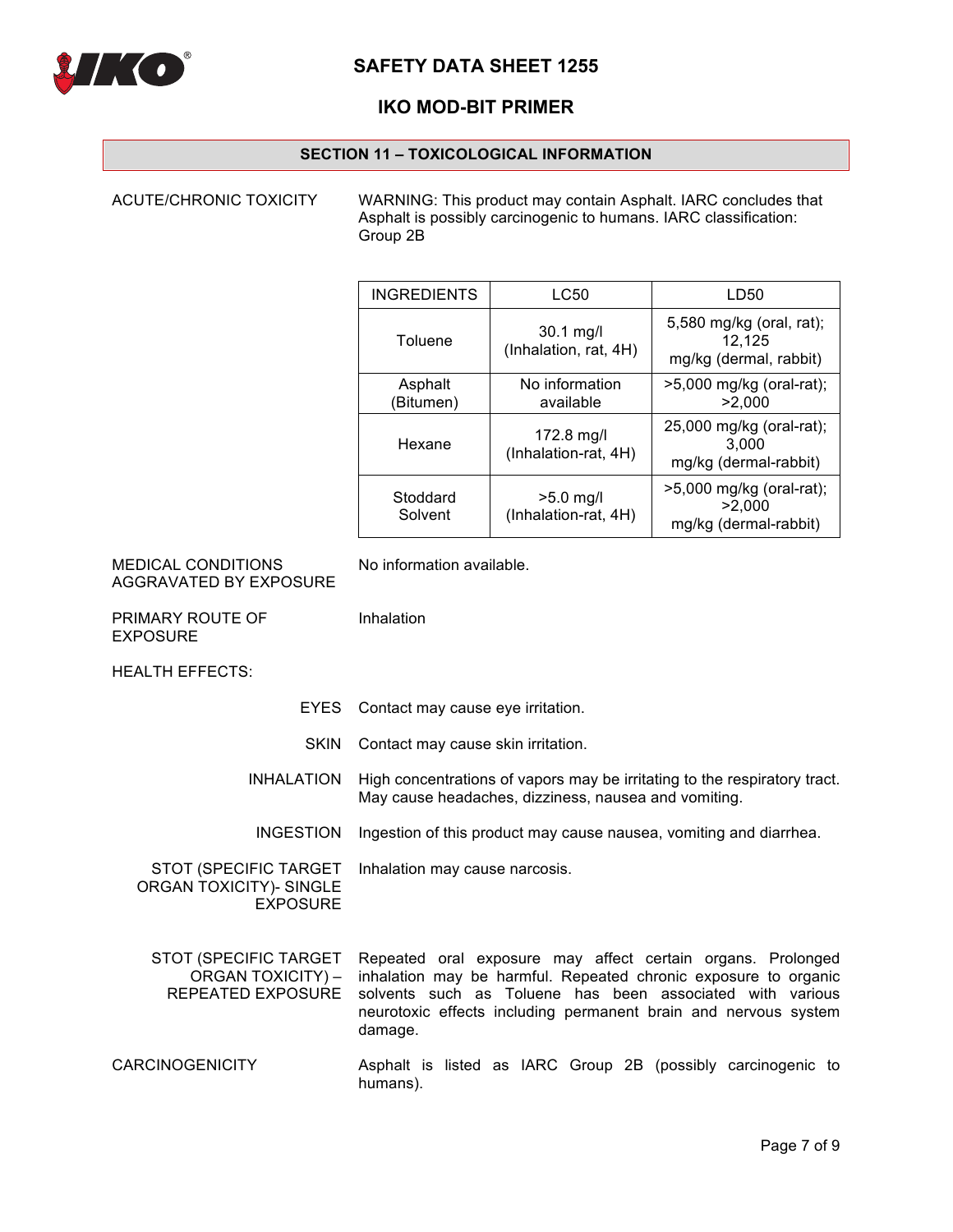

# **IKO MOD-BIT PRIMER**

## **SECTION 11 – TOXICOLOGICAL INFORMATION**

ACUTE/CHRONIC TOXICITY WARNING: This product may contain Asphalt. IARC concludes that Asphalt is possibly carcinogenic to humans. IARC classification: Group 2B

| <b>INGREDIENTS</b>   | LC50                                | LD50                                                         |
|----------------------|-------------------------------------|--------------------------------------------------------------|
| Toluene              | 30.1 mg/l<br>(Inhalation, rat, 4H)  | 5,580 mg/kg (oral, rat);<br>12.125<br>mg/kg (dermal, rabbit) |
| Asphalt<br>(Bitumen) | No information<br>available         | >5,000 mg/kg (oral-rat);<br>>2.000                           |
| Hexane               | 172.8 mg/l<br>(Inhalation-rat, 4H)  | 25,000 mg/kg (oral-rat);<br>3.000<br>mg/kg (dermal-rabbit)   |
| Stoddard<br>Solvent  | $>5.0$ mg/l<br>(Inhalation-rat, 4H) | >5,000 mg/kg (oral-rat);<br>>2.000<br>mg/kg (dermal-rabbit)  |

| <b>MEDICAL CONDITIONS</b> |
|---------------------------|
| AGGRAVATED BY EXPOSURE    |

No information available.

Inhalation

PRIMARY ROUTE OF EXPOSURE

HEALTH EFFECTS:

- EYES Contact may cause eye irritation.
- SKIN Contact may cause skin irritation.
- INHALATION High concentrations of vapors may be irritating to the respiratory tract. May cause headaches, dizziness, nausea and vomiting.
- INGESTION Ingestion of this product may cause nausea, vomiting and diarrhea.

STOT (SPECIFIC TARGET ORGAN TOXICITY)- SINGLE EXPOSURE Inhalation may cause narcosis.

- STOT (SPECIFIC TARGET ORGAN TOXICITY) – REPEATED EXPOSURE Repeated oral exposure may affect certain organs. Prolonged inhalation may be harmful. Repeated chronic exposure to organic solvents such as Toluene has been associated with various neurotoxic effects including permanent brain and nervous system damage.
- CARCINOGENICITY Asphalt is listed as IARC Group 2B (possibly carcinogenic to humans).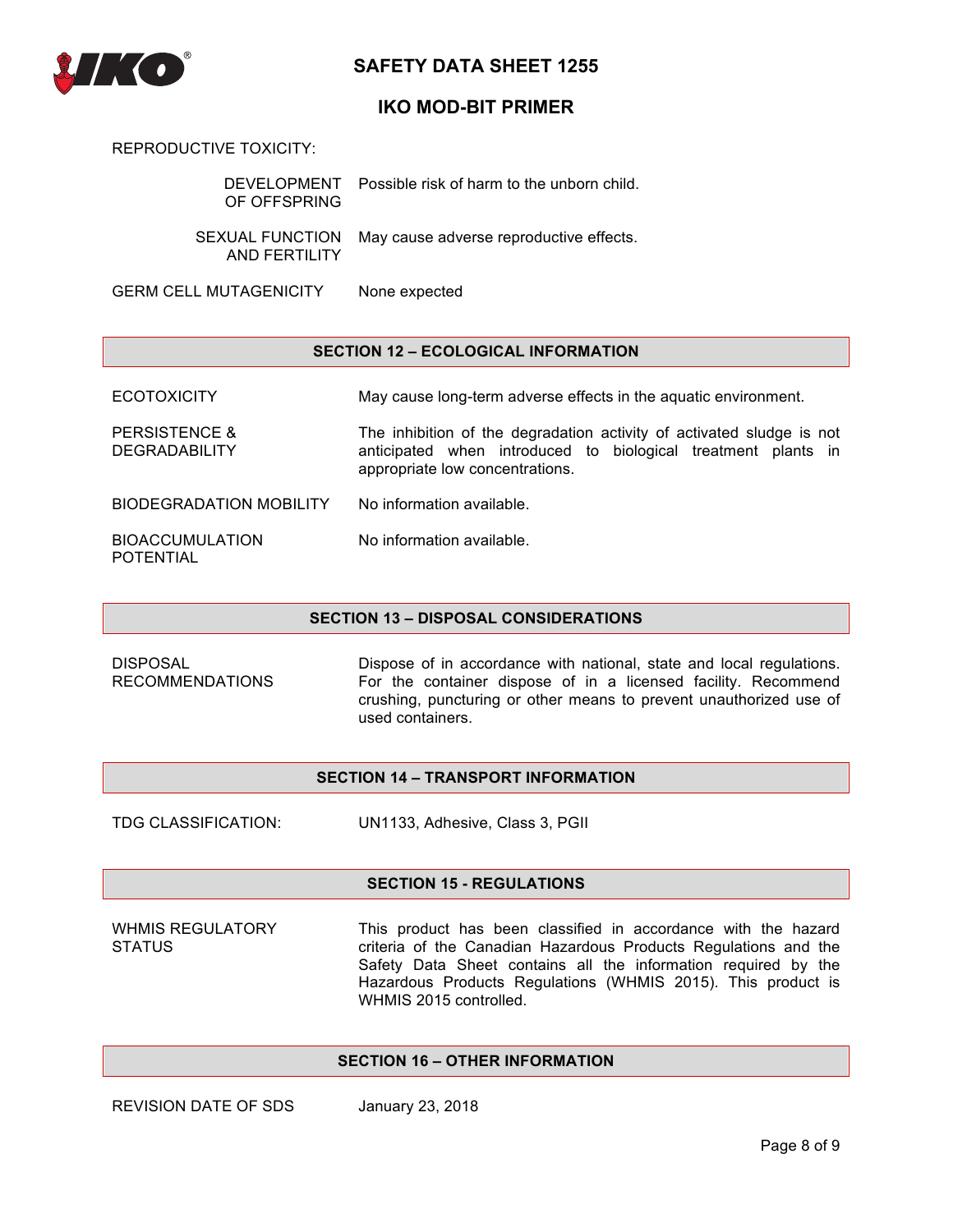

## **IKO MOD-BIT PRIMER**

REPRODUCTIVE TOXICITY:

| OF OFFSPRING                            | DEVELOPMENT Possible risk of harm to the unborn child. |
|-----------------------------------------|--------------------------------------------------------|
| <b>SEXUAL FUNCTION</b><br>AND FERTILITY | May cause adverse reproductive effects.                |
| <b>GERM CELL MUTAGENICITY</b>           | None expected                                          |

### **SECTION 12 – ECOLOGICAL INFORMATION**

ECOTOXICITY May cause long-term adverse effects in the aquatic environment.

PERSISTENCE & DEGRADABILITY The inhibition of the degradation activity of activated sludge is not anticipated when introduced to biological treatment plants in appropriate low concentrations.

BIODEGRADATION MOBILITY No information available.

| <b>BIOACCUMULATION</b> | No information available. |
|------------------------|---------------------------|
| <b>POTENTIAL</b>       |                           |

#### **SECTION 13 – DISPOSAL CONSIDERATIONS**

DISPOSAL RECOMMENDATIONS Dispose of in accordance with national, state and local regulations. For the container dispose of in a licensed facility. Recommend crushing, puncturing or other means to prevent unauthorized use of used containers.

### **SECTION 14 – TRANSPORT INFORMATION**

TDG CLASSIFICATION: UN1133, Adhesive, Class 3, PGII

### **SECTION 15 - REGULATIONS**

WHMIS REGULATORY **STATUS** 

This product has been classified in accordance with the hazard criteria of the Canadian Hazardous Products Regulations and the Safety Data Sheet contains all the information required by the Hazardous Products Regulations (WHMIS 2015). This product is WHMIS 2015 controlled.

## **SECTION 16 – OTHER INFORMATION**

REVISION DATE OF SDS January 23, 2018